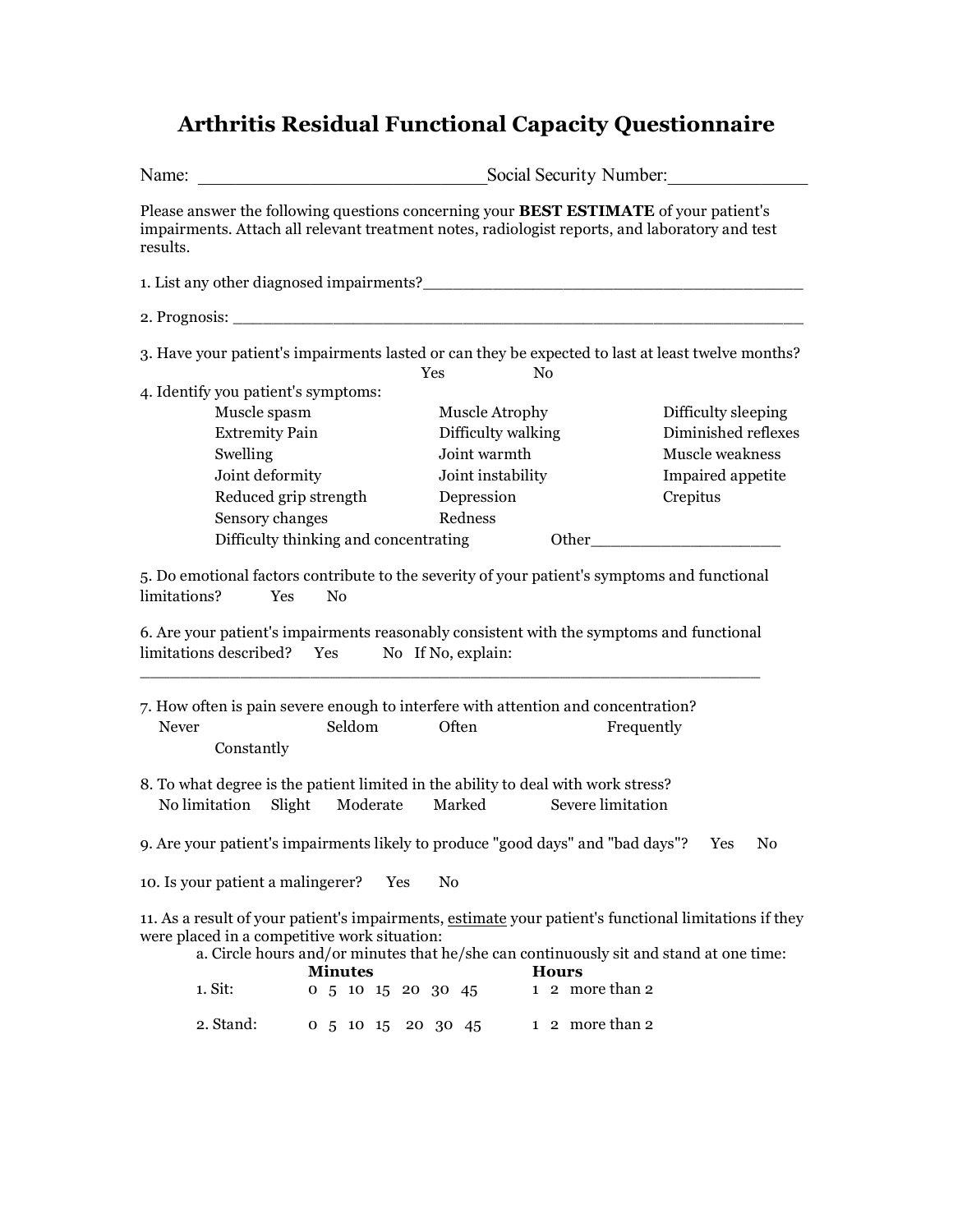## **Arthritis Residual Functional Capacity Questionnaire**

| Name:                                                                                                                                                                                                                                                                             | Social Security Number: |  |  |  |                    |            |                    |                |                 |                     |  |  |
|-----------------------------------------------------------------------------------------------------------------------------------------------------------------------------------------------------------------------------------------------------------------------------------|-------------------------|--|--|--|--------------------|------------|--------------------|----------------|-----------------|---------------------|--|--|
| Please answer the following questions concerning your <b>BEST ESTIMATE</b> of your patient's<br>impairments. Attach all relevant treatment notes, radiologist reports, and laboratory and test<br>results.                                                                        |                         |  |  |  |                    |            |                    |                |                 |                     |  |  |
|                                                                                                                                                                                                                                                                                   |                         |  |  |  |                    |            |                    |                |                 |                     |  |  |
|                                                                                                                                                                                                                                                                                   |                         |  |  |  |                    |            |                    |                |                 |                     |  |  |
| 3. Have your patient's impairments lasted or can they be expected to last at least twelve months?                                                                                                                                                                                 |                         |  |  |  |                    | <b>Yes</b> |                    | N <sub>0</sub> |                 |                     |  |  |
| 4. Identify you patient's symptoms:                                                                                                                                                                                                                                               |                         |  |  |  |                    |            |                    |                |                 |                     |  |  |
| Muscle spasm                                                                                                                                                                                                                                                                      |                         |  |  |  |                    |            | Muscle Atrophy     |                |                 | Difficulty sleeping |  |  |
|                                                                                                                                                                                                                                                                                   | <b>Extremity Pain</b>   |  |  |  |                    |            | Difficulty walking |                |                 | Diminished reflexes |  |  |
| Swelling                                                                                                                                                                                                                                                                          |                         |  |  |  |                    |            | Joint warmth       |                |                 | Muscle weakness     |  |  |
|                                                                                                                                                                                                                                                                                   | Joint deformity         |  |  |  |                    |            | Joint instability  |                |                 | Impaired appetite   |  |  |
|                                                                                                                                                                                                                                                                                   | Reduced grip strength   |  |  |  |                    |            | Depression         |                |                 | Crepitus            |  |  |
| Sensory changes                                                                                                                                                                                                                                                                   |                         |  |  |  | Redness            |            |                    |                |                 |                     |  |  |
| Difficulty thinking and concentrating<br>Other                                                                                                                                                                                                                                    |                         |  |  |  |                    |            |                    |                |                 |                     |  |  |
| limitations?<br><b>Yes</b><br>$\rm No$<br>6. Are your patient's impairments reasonably consistent with the symptoms and functional<br>limitations described?<br>Yes<br>No If No, explain:                                                                                         |                         |  |  |  |                    |            |                    |                |                 |                     |  |  |
| 7. How often is pain severe enough to interfere with attention and concentration?<br>Seldom<br>Often<br>Frequently<br>Never<br>Constantly                                                                                                                                         |                         |  |  |  |                    |            |                    |                |                 |                     |  |  |
| 8. To what degree is the patient limited in the ability to deal with work stress?<br>No limitation<br>Slight<br>Moderate<br>Marked<br><b>Severe limitation</b>                                                                                                                    |                         |  |  |  |                    |            |                    |                |                 |                     |  |  |
| 9. Are your patient's impairments likely to produce "good days" and "bad days"?<br>Yes<br>N <sub>0</sub>                                                                                                                                                                          |                         |  |  |  |                    |            |                    |                |                 |                     |  |  |
| 10. Is your patient a malingerer?<br>No<br>Yes                                                                                                                                                                                                                                    |                         |  |  |  |                    |            |                    |                |                 |                     |  |  |
| 11. As a result of your patient's impairments, estimate your patient's functional limitations if they<br>were placed in a competitive work situation:<br>a. Circle hours and/or minutes that he/she can continuously sit and stand at one time:<br><b>Minutes</b><br><b>Hours</b> |                         |  |  |  |                    |            |                    |                |                 |                     |  |  |
| 1. Sit:                                                                                                                                                                                                                                                                           |                         |  |  |  | 0 5 10 15 20 30 45 |            |                    |                | 1 2 more than 2 |                     |  |  |
| 2. Stand:                                                                                                                                                                                                                                                                         |                         |  |  |  | 0 5 10 15 20 30 45 |            |                    |                | 1 2 more than 2 |                     |  |  |